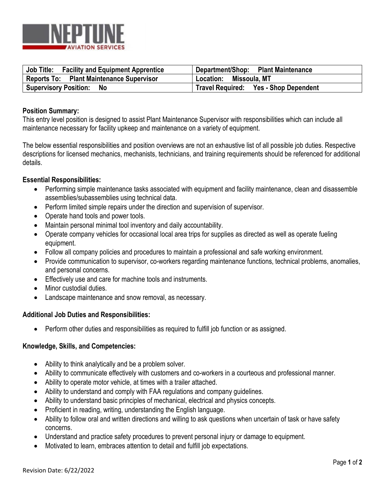

| Job Title:<br><b>Facility and Equipment Apprentice</b> | Department/Shop: Plant Maintenance    |
|--------------------------------------------------------|---------------------------------------|
| Reports To: Plant Maintenance Supervisor               | Location: Missoula, MT                |
| <b>Supervisory Position:</b><br><b>No</b>              | Travel Required: Yes - Shop Dependent |

## **Position Summary:**

This entry level position is designed to assist Plant Maintenance Supervisor with responsibilities which can include all maintenance necessary for facility upkeep and maintenance on a variety of equipment.

The below essential responsibilities and position overviews are not an exhaustive list of all possible job duties. Respective descriptions for licensed mechanics, mechanists, technicians, and training requirements should be referenced for additional details.

## **Essential Responsibilities:**

- Performing simple maintenance tasks associated with equipment and facility maintenance, clean and disassemble assemblies/subassemblies using technical data.
- Perform limited simple repairs under the direction and supervision of supervisor.
- Operate hand tools and power tools.
- Maintain personal minimal tool inventory and daily accountability.
- Operate company vehicles for occasional local area trips for supplies as directed as well as operate fueling equipment.
- Follow all company policies and procedures to maintain a professional and safe working environment.
- Provide communication to supervisor, co-workers regarding maintenance functions, technical problems, anomalies, and personal concerns.
- Effectively use and care for machine tools and instruments.
- Minor custodial duties.
- Landscape maintenance and snow removal, as necessary.

## **Additional Job Duties and Responsibilities:**

• Perform other duties and responsibilities as required to fulfill job function or as assigned.

## **Knowledge, Skills, and Competencies:**

- Ability to think analytically and be a problem solver.
- Ability to communicate effectively with customers and co-workers in a courteous and professional manner.
- Ability to operate motor vehicle, at times with a trailer attached.
- Ability to understand and comply with FAA regulations and company guidelines.
- Ability to understand basic principles of mechanical, electrical and physics concepts.
- Proficient in reading, writing, understanding the English language.
- Ability to follow oral and written directions and willing to ask questions when uncertain of task or have safety concerns.
- Understand and practice safety procedures to prevent personal injury or damage to equipment.
- Motivated to learn, embraces attention to detail and fulfill job expectations.